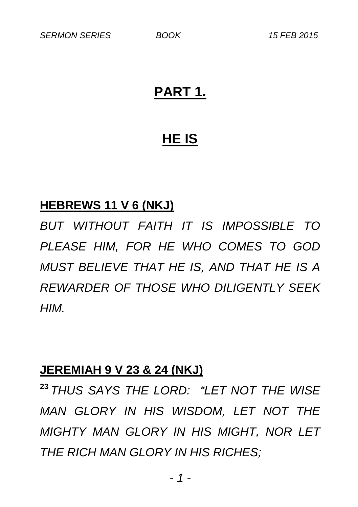## **PART 1.**

## **HE IS**

### **HEBREWS 11 V 6 (NKJ)**

*BUT WITHOUT FAITH IT IS IMPOSSIBLE TO PLEASE HIM, FOR HE WHO COMES TO GOD MUST BELIEVE THAT HE IS, AND THAT HE IS A REWARDER OF THOSE WHO DILIGENTLY SEEK HIM.*

#### **JEREMIAH 9 V 23 & 24 (NKJ)**

**<sup>23</sup>** *THUS SAYS THE LORD: "LET NOT THE WISE MAN GLORY IN HIS WISDOM, LET NOT THE MIGHTY MAN GLORY IN HIS MIGHT, NOR LET THE RICH MAN GLORY IN HIS RICHES;*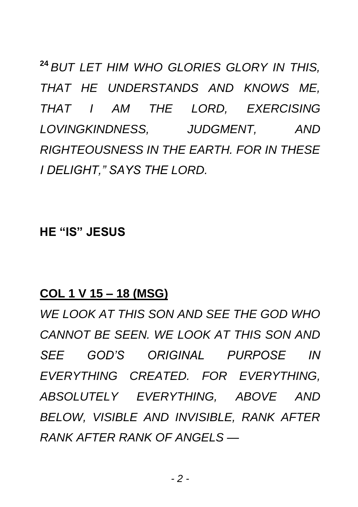**<sup>24</sup>** *BUT LET HIM WHO GLORIES GLORY IN THIS, THAT HE UNDERSTANDS AND KNOWS ME, THAT I AM THE LORD, EXERCISING LOVINGKINDNESS, JUDGMENT, AND RIGHTEOUSNESS IN THE EARTH. FOR IN THESE I DELIGHT," SAYS THE LORD.*

**HE "IS" JESUS**

### **COL 1 V 15 – 18 (MSG)**

*WE LOOK AT THIS SON AND SEE THE GOD WHO CANNOT BE SEEN. WE LOOK AT THIS SON AND SEE GOD'S ORIGINAL PURPOSE IN EVERYTHING CREATED. FOR EVERYTHING, ABSOLUTELY EVERYTHING, ABOVE AND BELOW, VISIBLE AND INVISIBLE, RANK AFTER RANK AFTER RANK OF ANGELS —*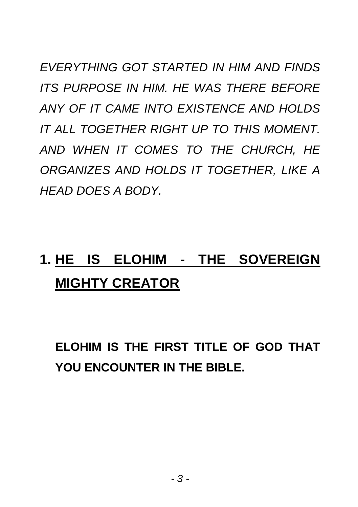*EVERYTHING GOT STARTED IN HIM AND FINDS ITS PURPOSE IN HIM. HE WAS THERE BEFORE ANY OF IT CAME INTO EXISTENCE AND HOLDS IT ALL TOGETHER RIGHT UP TO THIS MOMENT. AND WHEN IT COMES TO THE CHURCH, HE ORGANIZES AND HOLDS IT TOGETHER, LIKE A HEAD DOES A BODY.*

# **1. HE IS ELOHIM - THE SOVEREIGN MIGHTY CREATOR**

**ELOHIM IS THE FIRST TITLE OF GOD THAT YOU ENCOUNTER IN THE BIBLE.**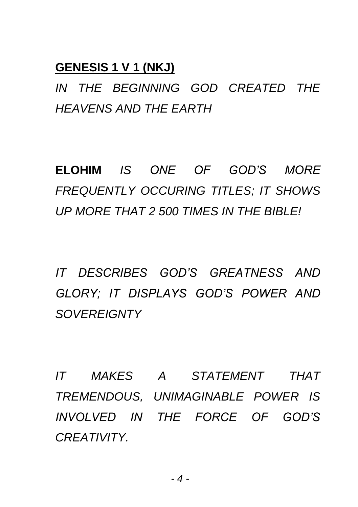### **GENESIS 1 V 1 (NKJ)**

*IN THE BEGINNING GOD CREATED THE HEAVENS AND THE EARTH*

**ELOHIM** *IS ONE OF GOD'S MORE FREQUENTLY OCCURING TITLES; IT SHOWS UP MORE THAT 2 500 TIMES IN THE BIBLE!*

*IT DESCRIBES GOD'S GREATNESS AND GLORY; IT DISPLAYS GOD'S POWER AND SOVEREIGNTY*

*IT MAKES A STATEMENT THAT TREMENDOUS, UNIMAGINABLE POWER IS INVOLVED IN THE FORCE OF GOD'S CREATIVITY.*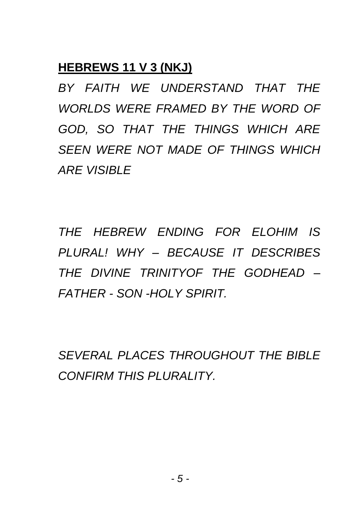## **HEBREWS 11 V 3 (NKJ)**

*BY FAITH WE UNDERSTAND THAT THE WORLDS WERE FRAMED BY THE WORD OF GOD, SO THAT THE THINGS WHICH ARE SEEN WERE NOT MADE OF THINGS WHICH ARE VISIBLE*

*THE HEBREW ENDING FOR ELOHIM IS PLURAL! WHY – BECAUSE IT DESCRIBES THE DIVINE TRINITYOF THE GODHEAD – FATHER - SON -HOLY SPIRIT.*

*SEVERAL PLACES THROUGHOUT THE BIBLE CONFIRM THIS PLURALITY.*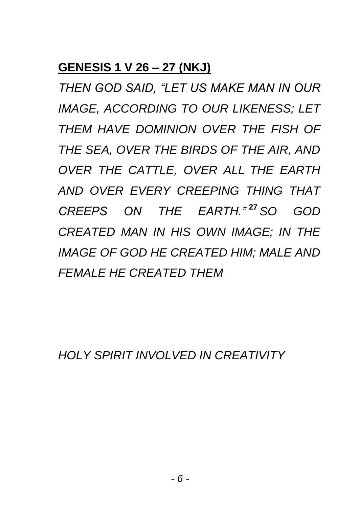## **GENESIS 1 V 26 – 27 (NKJ)**

*THEN GOD SAID, "LET US MAKE MAN IN OUR IMAGE, ACCORDING TO OUR LIKENESS; LET THEM HAVE DOMINION OVER THE FISH OF THE SEA, OVER THE BIRDS OF THE AIR, AND OVER THE CATTLE, OVER ALL THE EARTH AND OVER EVERY CREEPING THING THAT CREEPS ON THE EARTH."* **<sup>27</sup>** *SO GOD CREATED MAN IN HIS OWN IMAGE; IN THE IMAGE OF GOD HE CREATED HIM; MALE AND FEMALE HE CREATED THEM*

*HOLY SPIRIT INVOLVED IN CREATIVITY*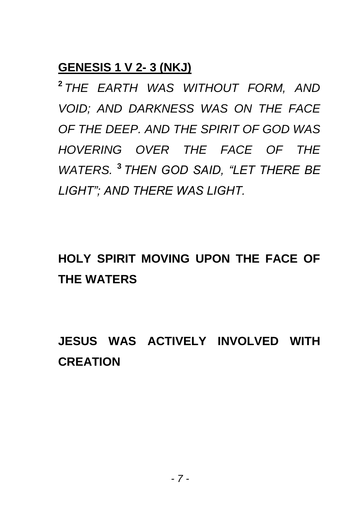### **GENESIS 1 V 2- 3 (NKJ)**

**2** *THE EARTH WAS WITHOUT FORM, AND VOID; AND DARKNESS WAS ON THE FACE OF THE DEEP. AND THE SPIRIT OF GOD WAS HOVERING OVER THE FACE OF THE WATERS.* **<sup>3</sup>** *THEN GOD SAID, "LET THERE BE LIGHT"; AND THERE WAS LIGHT.*

## **HOLY SPIRIT MOVING UPON THE FACE OF THE WATERS**

## **JESUS WAS ACTIVELY INVOLVED WITH CREATION**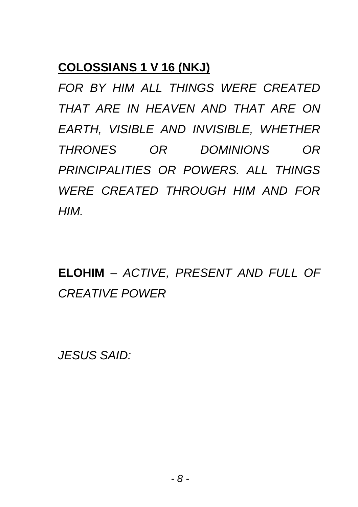## **COLOSSIANS 1 V 16 (NKJ)**

*FOR BY HIM ALL THINGS WERE CREATED THAT ARE IN HEAVEN AND THAT ARE ON EARTH, VISIBLE AND INVISIBLE, WHETHER THRONES OR DOMINIONS OR PRINCIPALITIES OR POWERS. ALL THINGS WERE CREATED THROUGH HIM AND FOR HIM.*

**ELOHIM** *– ACTIVE, PRESENT AND FULL OF CREATIVE POWER*

*JESUS SAID:*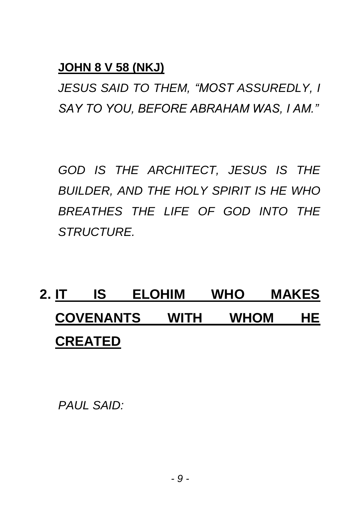## **JOHN 8 V 58 (NKJ)**

*JESUS SAID TO THEM, "MOST ASSUREDLY, I SAY TO YOU, BEFORE ABRAHAM WAS, I AM."*

*GOD IS THE ARCHITECT, JESUS IS THE BUILDER, AND THE HOLY SPIRIT IS HE WHO BREATHES THE LIFE OF GOD INTO THE STRUCTURE.*

# **2. IT IS ELOHIM WHO MAKES COVENANTS WITH WHOM HE CREATED**

*PAUL SAID:*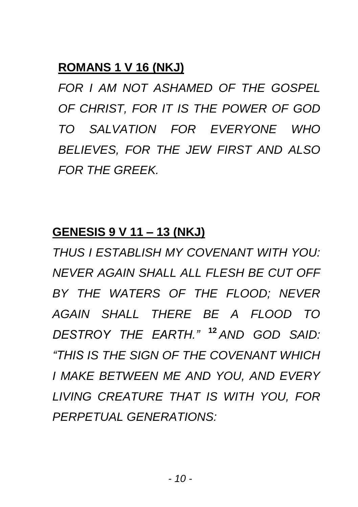## **ROMANS 1 V 16 (NKJ)**

*FOR I AM NOT ASHAMED OF THE GOSPEL OF CHRIST, FOR IT IS THE POWER OF GOD TO SALVATION FOR EVERYONE WHO BELIEVES, FOR THE JEW FIRST AND ALSO FOR THE GREEK.*

#### **GENESIS 9 V 11 – 13 (NKJ)**

*THUS I ESTABLISH MY COVENANT WITH YOU: NEVER AGAIN SHALL ALL FLESH BE CUT OFF BY THE WATERS OF THE FLOOD; NEVER AGAIN SHALL THERE BE A FLOOD TO DESTROY THE EARTH."* **<sup>12</sup>** *AND GOD SAID: "THIS IS THE SIGN OF THE COVENANT WHICH I MAKE BETWEEN ME AND YOU, AND EVERY LIVING CREATURE THAT IS WITH YOU, FOR PERPETUAL GENERATIONS:*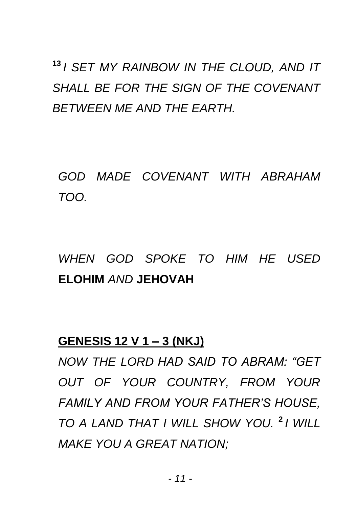## **13** *I SET MY RAINBOW IN THE CLOUD, AND IT SHALL BE FOR THE SIGN OF THE COVENANT BETWEEN ME AND THE EARTH.*

*GOD MADE COVENANT WITH ABRAHAM TOO.*

## *WHEN GOD SPOKE TO HIM HE USED*  **ELOHIM** *AND* **JEHOVAH**

### **GENESIS 12 V 1 – 3 (NKJ)**

*NOW THE LORD HAD SAID TO ABRAM: "GET OUT OF YOUR COUNTRY, FROM YOUR FAMILY AND FROM YOUR FATHER'S HOUSE, TO A LAND THAT I WILL SHOW YOU.* **<sup>2</sup>** *I WILL MAKE YOU A GREAT NATION;*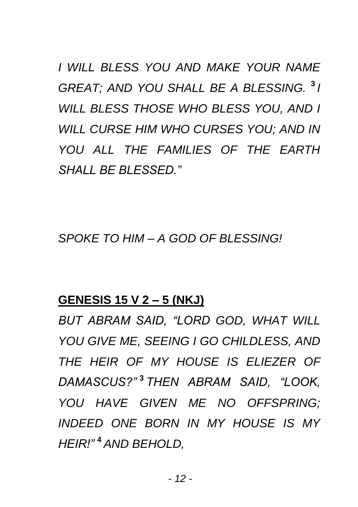*I WILL BLESS YOU AND MAKE YOUR NAME GREAT; AND YOU SHALL BE A BLESSING.* **<sup>3</sup>** *I WILL BLESS THOSE WHO BLESS YOU, AND I WILL CURSE HIM WHO CURSES YOU; AND IN YOU ALL THE FAMILIES OF THE EARTH SHALL BE BLESSED."*

*SPOKE TO HIM – A GOD OF BLESSING!*

### **GENESIS 15 V 2 – 5 (NKJ)**

*BUT ABRAM SAID, "LORD GOD, WHAT WILL YOU GIVE ME, SEEING I GO CHILDLESS, AND THE HEIR OF MY HOUSE IS ELIEZER OF DAMASCUS?"* **<sup>3</sup>** *THEN ABRAM SAID, "LOOK, YOU HAVE GIVEN ME NO OFFSPRING; INDEED ONE BORN IN MY HOUSE IS MY HEIR!"* **<sup>4</sup>** *AND BEHOLD,*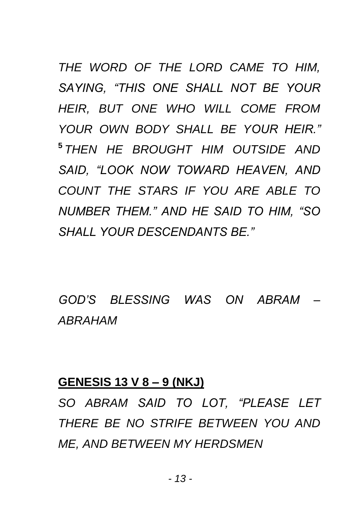*THE WORD OF THE LORD CAME TO HIM, SAYING, "THIS ONE SHALL NOT BE YOUR HEIR, BUT ONE WHO WILL COME FROM YOUR OWN BODY SHALL BE YOUR HEIR."* **5** *THEN HE BROUGHT HIM OUTSIDE AND SAID, "LOOK NOW TOWARD HEAVEN, AND COUNT THE STARS IF YOU ARE ABLE TO NUMBER THEM." AND HE SAID TO HIM, "SO SHALL YOUR DESCENDANTS BE."*

*GOD'S BLESSING WAS ON ABRAM – ABRAHAM*

#### **GENESIS 13 V 8 – 9 (NKJ)**

*SO ABRAM SAID TO LOT, "PLEASE LET THERE BE NO STRIFE BETWEEN YOU AND ME, AND BETWEEN MY HERDSMEN*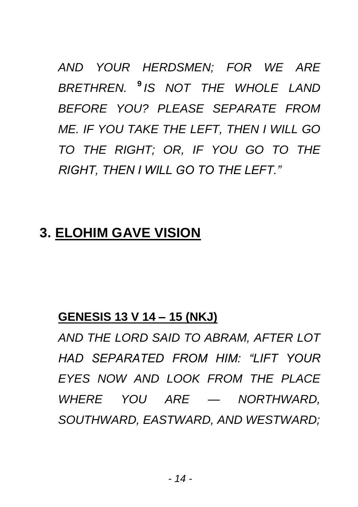*AND YOUR HERDSMEN; FOR WE ARE BRETHREN.* **<sup>9</sup>** *IS NOT THE WHOLE LAND BEFORE YOU? PLEASE SEPARATE FROM ME. IF YOU TAKE THE LEFT, THEN I WILL GO TO THE RIGHT; OR, IF YOU GO TO THE RIGHT, THEN I WILL GO TO THE LEFT."*

## **3. ELOHIM GAVE VISION**

#### **GENESIS 13 V 14 – 15 (NKJ)**

*AND THE LORD SAID TO ABRAM, AFTER LOT HAD SEPARATED FROM HIM: "LIFT YOUR EYES NOW AND LOOK FROM THE PLACE WHERE YOU ARE — NORTHWARD, SOUTHWARD, EASTWARD, AND WESTWARD;*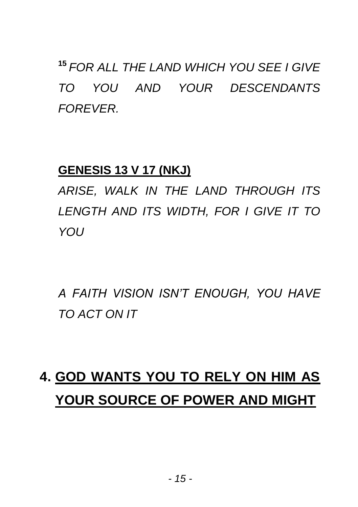**<sup>15</sup>** *FOR ALL THE LAND WHICH YOU SEE I GIVE TO YOU AND YOUR DESCENDANTS FOREVER.*

## **GENESIS 13 V 17 (NKJ)**

*ARISE, WALK IN THE LAND THROUGH ITS LENGTH AND ITS WIDTH, FOR I GIVE IT TO YOU*

*A FAITH VISION ISN'T ENOUGH, YOU HAVE TO ACT ON IT*

# **4. GOD WANTS YOU TO RELY ON HIM AS YOUR SOURCE OF POWER AND MIGHT**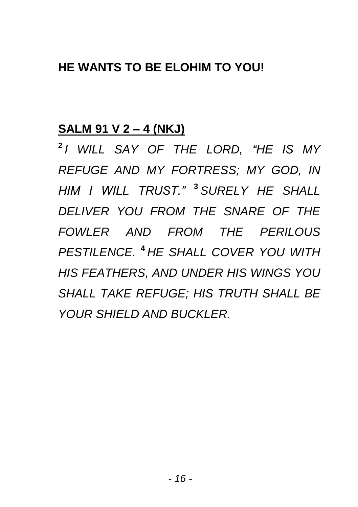## **HE WANTS TO BE ELOHIM TO YOU!**

#### **SALM 91 V 2 – 4 (NKJ)**

**2** *I WILL SAY OF THE LORD, "HE IS MY REFUGE AND MY FORTRESS; MY GOD, IN HIM I WILL TRUST."* **<sup>3</sup>** *SURELY HE SHALL DELIVER YOU FROM THE SNARE OF THE FOWLER AND FROM THE PERILOUS PESTILENCE.* **<sup>4</sup>** *HE SHALL COVER YOU WITH HIS FEATHERS, AND UNDER HIS WINGS YOU SHALL TAKE REFUGE; HIS TRUTH SHALL BE YOUR SHIELD AND BUCKLER.*